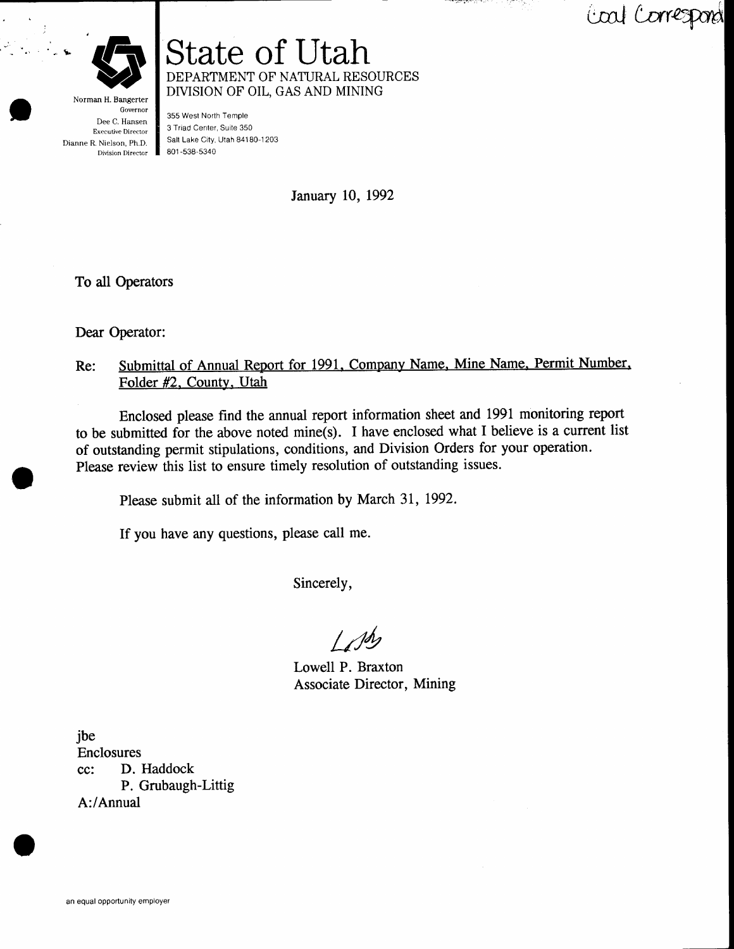Coal Correspond



-b

Governor Dee C. Hansen Executive Director Dianne R. Nielson, Ph.D. Division Director

DEPARTMENT OF NATURAL RESOURCES DIVISION OF OIL, GAS AND MINING 355 West North Temple 3 Triad Center, Suite 350 Salt Lake City, Utah 841 80-1 203

801 -538-5340

State of Utah

January 10, 1992

To all Operators

Dear Operator:

## Re: Submittal of Annual Report for 1991, Company Name, Mine Name, Permit Number, Folder #2. County, Utah

Enclosed please find the annual report information sheet and 1991 monitoring report to be submitted for the above noted mine(s). I have enclosed what I believe is a current list of outstanding permit stipulations, conditions, and Division Orders for your operation. Please review this list to ensure timely resolution of outstanding issues.

Please submit all of the information by March 31, 1992.

If you have any questions, please call me.

Sincerely,

 $L$ *M* 

Lowell P. Braxton Associate Director, Mining

jbe Enclosures cc: D. Haddock P. Grubaugh-Littig A:/Annual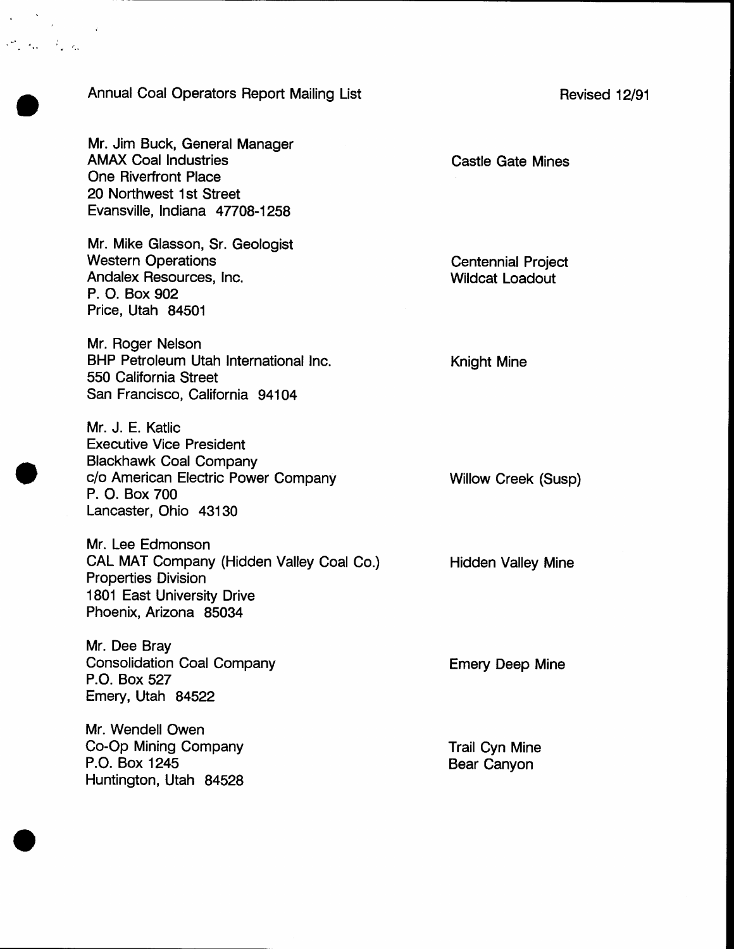## Annual Coal Operators Report Mailing List

Mr. Jim Buck, General Manager AMAX Coal lndustries One Riverfront Place 20 Northwest 1st Street Evansville, Indiana 47708-1258

 $\mathcal{L}^{\text{max}}_{\text{max}}$  , and  $\mathcal{L}^{\text{max}}_{\text{max}}$ 

Mr. Mike Glasson, Sr. Geologist Western Operations Andalex Resources, Inc. P. O. Box 902 Price, Utah 84501

Mr. Roger Nelson BHP Petroleum Utah International Inc. 550 California Street San Francisco, California 94104

Mr. J. E. Katlic Executive Vice President Blackhawk Coal Company c/o American Electric Power Gompany P. O. Box 700 Lancaster, Ohio 43130

Mr. Lee Edmonson CAL MAT Company (Hidden Valley Coal Co.) Properties Division 1801 East University Drive Phoenix, Arizona 85034

Mr. Dee Bray Consolidation Coal Company P.O. Box 527 Emery, Utah 84522

Mr. Wendell Owen Co-Op Mining Company P.O. Box 1245 Huntington, Utah 84528 Castle Gate Mines

Centennial Project Wildcat Loadout

Knight Mine

Willow Creek (Susp)

Hidden Valley Mine

Emery Deep Mine

Trail Cyn Mine Bear Canyon

Revised 12/91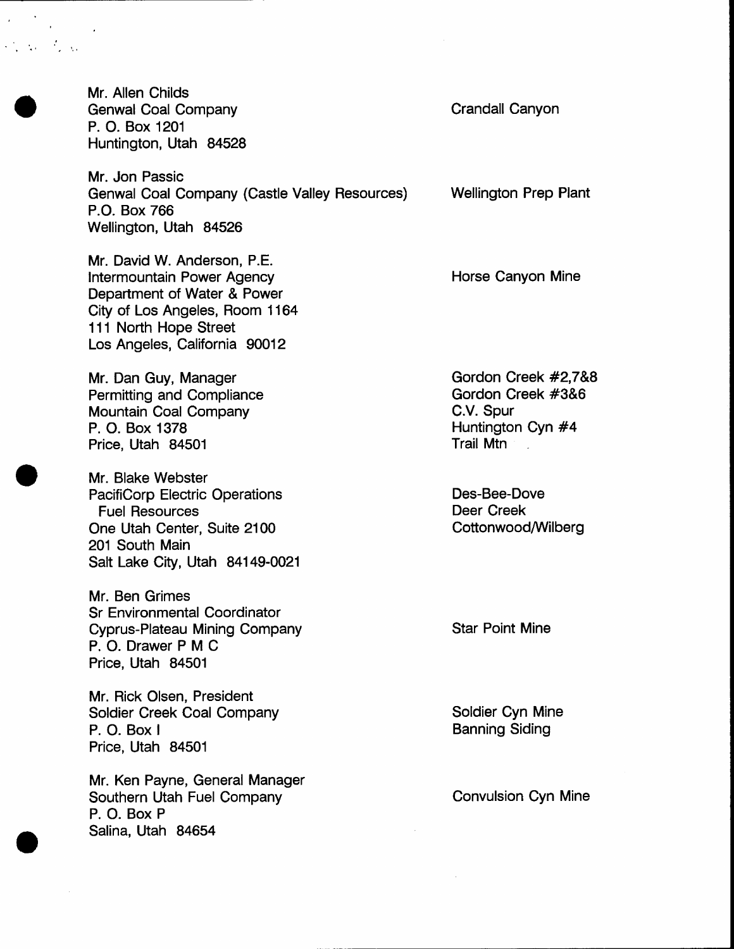Mr. Allen Childs Genwal Coal Company P. O. Box 1201 Huntington, Utah 84528

 $\mathcal{L}_{\mathcal{A}}^{\mathcal{A}}(\mathcal{A}_{\mathcal{A}})$  ,  $\mathcal{L}_{\mathcal{A}}^{\mathcal{A}}(\mathcal{A}_{\mathcal{A}})$ 

Mr. Jon Passic Genwal Coal Company (Castle Valley Resources) P.O. Box 766 Wellington, Utah 84526

Mr. David W. Anderson, P.E. Intermountain Power Agency Department of Water & Power City of Los Angeles, Room 1 164 111 North Hope Street Los Angeles, California 90012

Mr. Dan Guy, Manager Permitting and Compliance Mountain Coal Company P. O. Box 1378 Price, Utah 84501

Mr. Blake Webster PacifiCorp Electric Operations Fuel Resources One Utah Center, Suite 2100 201 South Main Salt Lake City, Utah 84149-0021

Mr. Ben Grimes Sr Environmental Coordinator Cyprus-Plateau Mining Company P. O. Drawer P M C Price, Utah 84501

Mr. Rick Olsen, President Soldier Creek Coal Company P. O. Box <sup>I</sup> Price, Utah 84501

Mr. Ken Payne, General Manager Southern Utah Fuel Company P. O. Box P Salina, Utah 84654

Crandall Canyon

Wellington Prep Plant

Horse Canyon Mine

Gordon Creek #2,7&8 Gordon Creek #3&6 C.V. Spur Huntington Cyn #4 Trail Mtn

Des-Bee-Dove Deer Creek Cottonwood/Wilberg

Star Point Mine

Soldier Cyn Mine Banning Siding

Convulsion Cyn Mine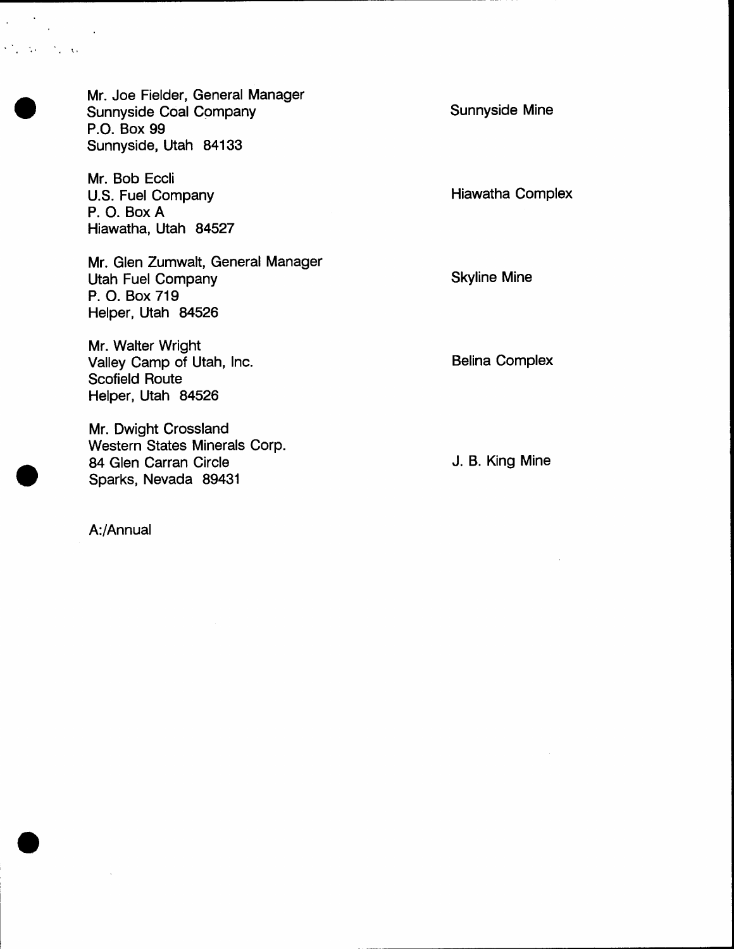Mr. Joe Fielder, General Manager Sunnyside Coal Company P.O. Box 99 Sunnyside, Utah 84133

Mr. Bob Eccli U.S. Fuel Company P. O. Box A Hiawatha, Utah 84527

 $\sim 10$  $\sim$ 

 $\mathcal{O}_{\mathcal{A}}$  , where  $\mathcal{O}_{\mathcal{A}}$  , where  $\mathcal{O}_{\mathcal{A}}$ 

 $\mathcal{O}(\mathcal{O}(\log n))$ 

Mr. Glen Zumwalt, General Manager Utah Fuel Company P. O. Box 719 Helper, Utah 84526

Mr. Walter Wright Valley Camp of Utah, Inc. Scofield Route Helper, Utah 84526

Mr. Dwight Crossland Western States Minerals Corp. 84 Glen Carran Circle Sparks, Nevada 89431

Sunnyside Mine

Hiawatha Complex

Skyline Mine

Belina Complex

J. B. King Mine

A:/Annual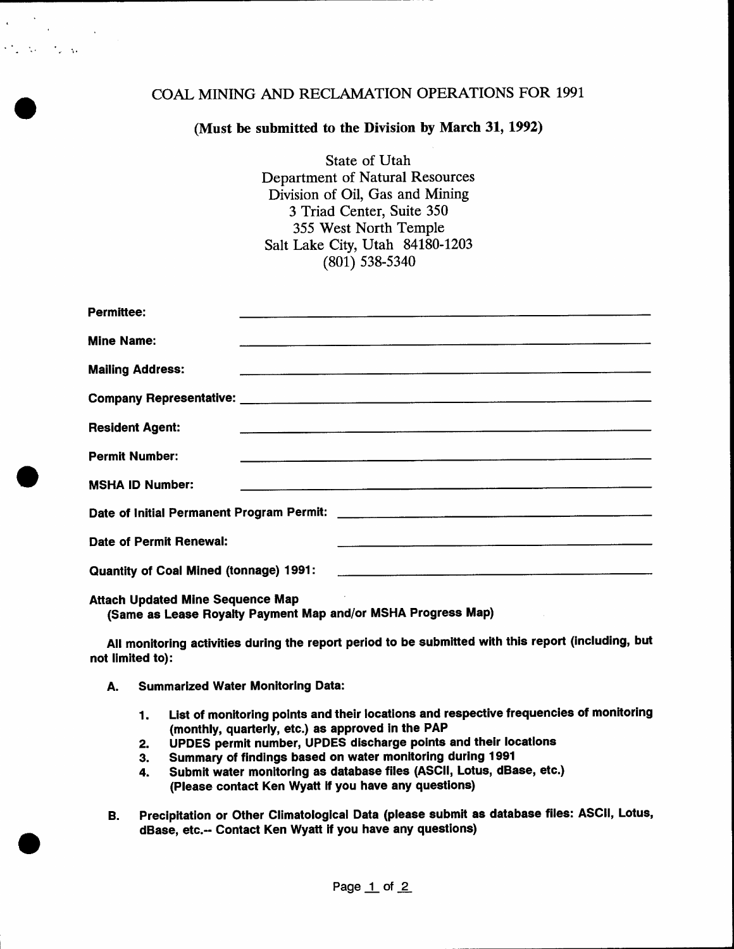## COAL MINING AND RECLAMATION OPERATIONS FOR 1991

## (Must be submitted to the Division by March 31, 1992)

State of Utah Department of Natural Resources Division of Oil, Gas and Mining 3 Triad Center, Suite 350 355 West North Temple Salt Lake City, Utah 84180-1203 (801) 538-5340

| <b>Permittee:</b>                       |                                                                    |                                                                                                                        |                                                                                   |  |
|-----------------------------------------|--------------------------------------------------------------------|------------------------------------------------------------------------------------------------------------------------|-----------------------------------------------------------------------------------|--|
|                                         |                                                                    |                                                                                                                        |                                                                                   |  |
| <b>Mine Name:</b>                       |                                                                    | <u>. Andre de la componentación de la componentación de la componentación de la componentación de la componentació</u> |                                                                                   |  |
| <b>Mailing Address:</b>                 |                                                                    |                                                                                                                        | ,我们就是一个人的,我们就是一个人的,我们就是一个人的,我们就是一个人的。""我们,我们就是我们的,我们就是我们的,我们就是我们的。""我们,我们就是我们的,我们 |  |
|                                         |                                                                    |                                                                                                                        |                                                                                   |  |
| <b>Resident Agent:</b>                  |                                                                    |                                                                                                                        | ,我们也不会不会不会不会不会不会不会不会不会不会不会不会不会不会不会不会不会。""我们,我们也不会不会不会不会不会不会不会不会不会。""我们,我们也不会不会不会  |  |
| <b>Permit Number:</b>                   | <u> 1980 - Andrea Stadt Britain, amerikan berlindar (h. 1980).</u> |                                                                                                                        |                                                                                   |  |
|                                         |                                                                    |                                                                                                                        |                                                                                   |  |
| <b>MSHA ID Number:</b>                  |                                                                    |                                                                                                                        |                                                                                   |  |
|                                         |                                                                    |                                                                                                                        |                                                                                   |  |
| Date of Permit Renewal:                 |                                                                    |                                                                                                                        |                                                                                   |  |
|                                         |                                                                    |                                                                                                                        |                                                                                   |  |
|                                         |                                                                    |                                                                                                                        |                                                                                   |  |
| <b>Attach Updated Mine Sequence Map</b> |                                                                    |                                                                                                                        |                                                                                   |  |

(Same as Lease Royalty Payment Map and/or MSHA Progress Map)

All monitoring activities during the report period to be submltted with this report (including, but not limited to):

A. Summarized Water Monitoring Data:

 $\mathcal{L}^{\mathcal{L}}$  , where  $\mathcal{L}^{\mathcal{L}}$  ,  $\mathcal{L}^{\mathcal{L}}$  ,  $\mathcal{L}^{\mathcal{L}}$ 

- List of monitoring points and their locations and respective frequencies of monitoring (monthly, quarterly, etc.) as approved in the PAP 1.
- UPDES permit number, UPDES discharge points and thelr locatlons 2.
- Summary of findings based on water monltoring durlng 1991 3.
- Submit water monitoring as database files (ASCII, Lotus, dBase, etc.) (Please contact Ken Wyatt lf you have any questions) 4.
- B. Precipitation or Other Climatological Data (please submit as database files: ASCII, Lotus, dBase, etc.-- Contact Ken Wyatt if you have any questions)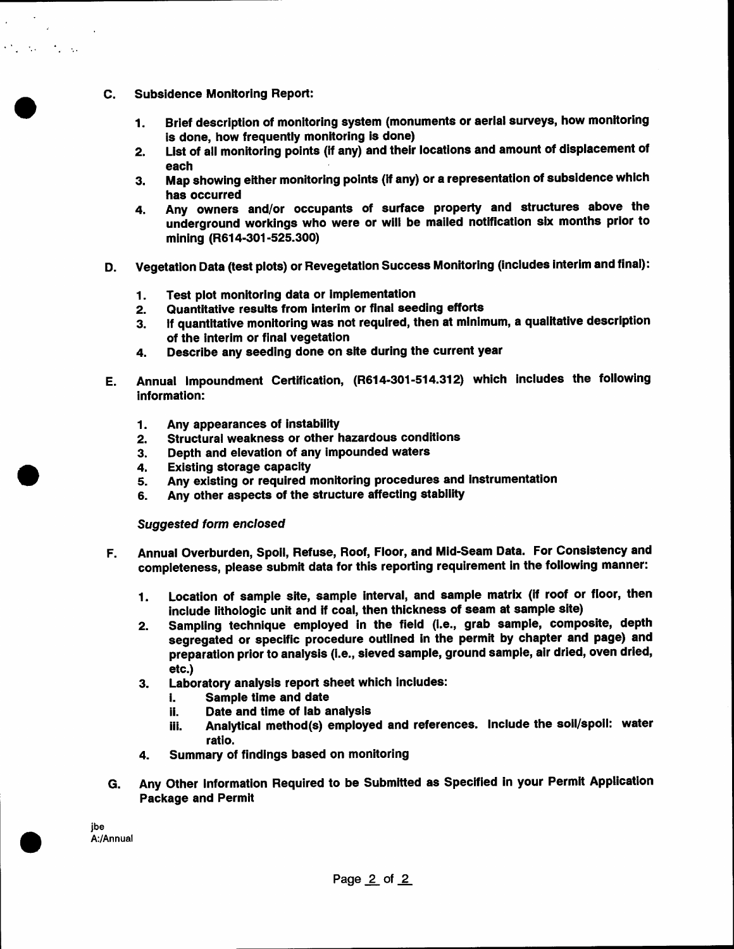C. Subsidence Monitoring Report:

 $\mathcal{L}(\mathbf{z})$  ,  $\mathcal{L}(\mathbf{z})$ 

 $\mathcal{O}(\mathcal{E}_\mathcal{A}^{\text{max}})$  , where  $\mathcal{O}(\mathcal{E}_\mathcal{A}^{\text{max}})$ 

- 1. Brief description of monitoring system (monuments or aerial surveys, how monitoring is done, how frequently monitoring is done)
- 2. List of all monitoring points (if any) and their locations and amount of displacement of each
- 3. Map showing either monitoring points (if any) or a representation of subsidence which has occurred
- 4. Any ownera and/or occupants of surface property and structures above the underground workings who were or will be mailed notification six months prior to mining (R614-301-525.300)
- Vegetation Data (test plots) or Revegetation Success Monitoring (includes interim and final): D.
	-
	- 1. Test plot monitoring data or implementation<br>2. Quantitative results from interim or final see 2. Quantitative results from interim or final seeding efforts<br>3. If quantitative monitoring was not required, then at minin
	- If quantitative monitoring was not required, then at minimum, a qualitative description of the interlm or final vegetation
	- 4. Describe any seeding done on slte during the current year
- Annual lmpoundment Gertification, (R614-301-514.312) which lncludes the following Е. information:
	- Any appearances of instability 1.
	- Structural weakness or other hazardous conditions 2.
	- Depth and elevation of any impounded waters 3.
	- Existing storage capaclty 4.
	- Any existing or required monitoring procedures and instrumentation 5.
	- Any other aspects of the structure affecting stability 6.

Suggested form enclosed

- Annual Overburden, Spoll, Refuse, Roof, Floor, and Mid'Seam Data. For Consietency and completeness, please submit data for this reporting requirement in the following manner: F.
	- 1. Location of sample site, sample interval, and sample matrix (if roof or floor, then include lithologic unit and if coal, then thickness of seam at sample site)
	- Z. Sampling technique employed in the field (1.e., grab sample, composite, depth segregated or specific procedure outllned in the permit by chapter and page) and preparation prior to analysis (i.e., sieved sample, ground sample, air dried, oven dried, etc.)
	- 3. Laboratory analysis report sheet which includes:<br>i. Sample time and date
		- **i.** Sample time and date<br>**ii.** Date and time of lab a
		- ii. Date and time of lab analysis<br>iii. Analytical method(s) employe
		- Analytical method(s) employed and references. Include the soil/spoil: water ratio.
	- 4. Summary of findlngs based on monitoring
- Any Other Information Required to be Submltted as \$pecified in your Permlt Application Package and Permit G.

jbe A:/Annual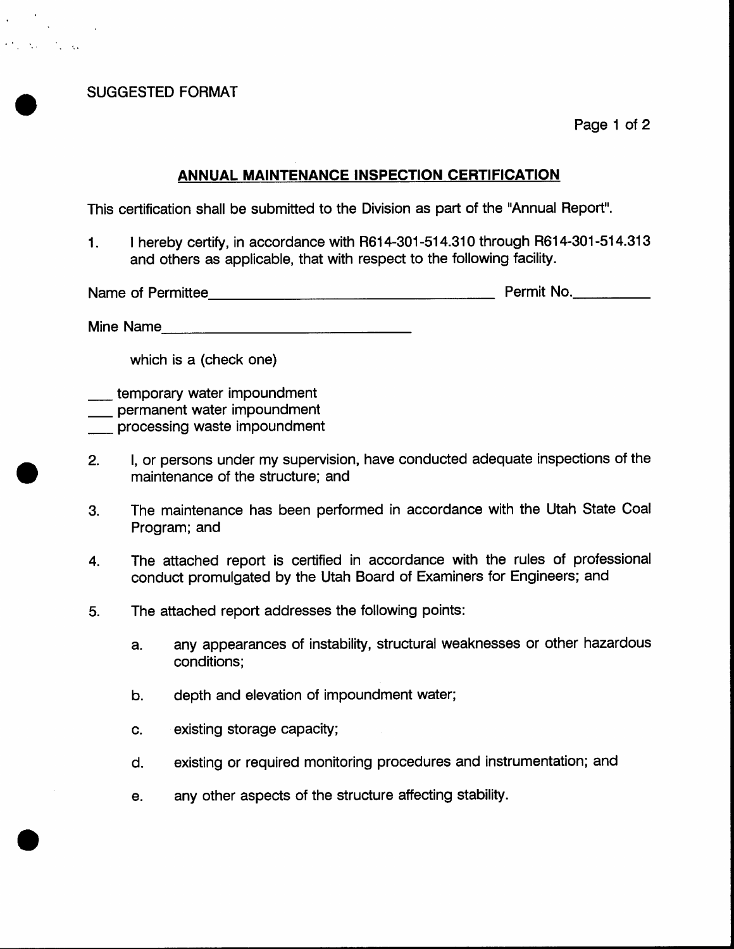SUGGESTED FORMAT

 $\mathcal{A}^{\text{max}}_{\text{max}}$ 

 $\mathcal{F}^{\text{in}}_{\text{out}}$  , where  $\mathcal{F}^{\text{in}}_{\text{out}}$  , where

Page 1 of 2

## ANNUAL MAINTENANCE INSPECTION CERTIFICATION

This certification shall be submitted to the Division as part of the "Annual Report".

<sup>1</sup>. I hereby certify, in accordance with R614-301-514.310 through R614-301-514.313 and others as applicable, that with respect to the following facility.

Name of Permittee **Name of Permittee** Permit No.

Mine Name

which is a (check one)

temporary water impoundment

**\_\_\_** permanent water impoundment

**processing waste impoundment** 

- 2. l, or persons under my superuision, have conducted adequate inspections of the maintenance of the structure; and
- The maintenance has been performed in accordance with the Utah State Coal Program; and 3.
- The attached report is certified in accordance with the rules of professional conduct promulgated by the Utah Board of Examiners for Engineers; and 4.
- The attached report addresses the following points: 5.
	- a. any appearances of instability, structural weaknesses or other hazardous conditions;
	- b. depth and elevation of impoundment water;
	- c. existing storage capacity;
	- d, existing or required monitoring procedures and instrumentation; and
	- e. any other aspects of the structure affecting stability.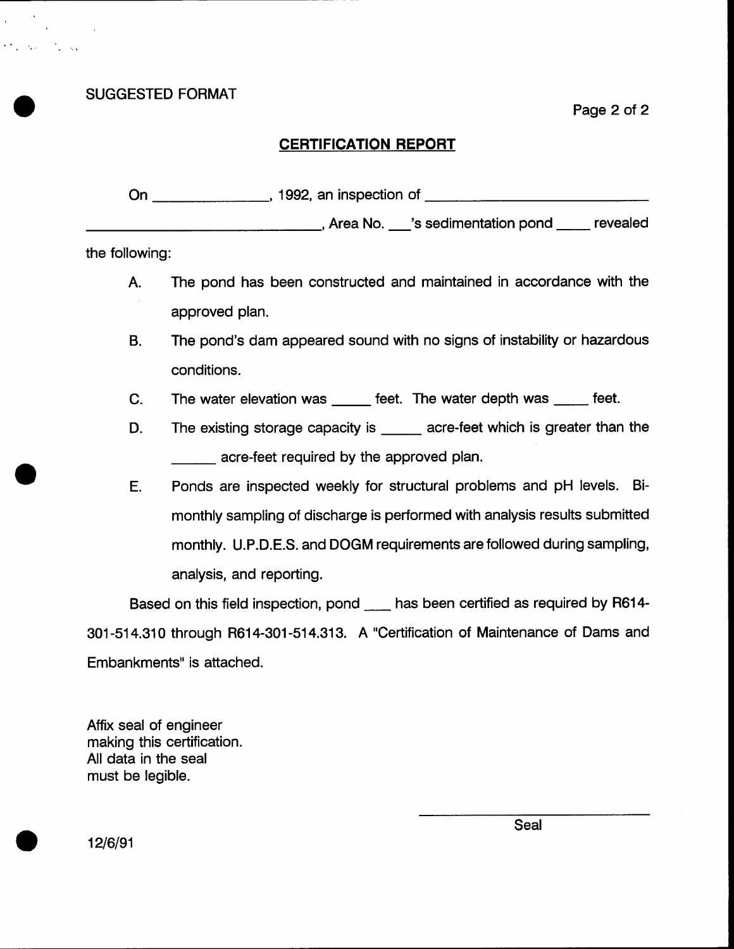SUGGESTED FORMAT

 $\mathcal{O}(\mathcal{O}_\mathcal{A})$  , where  $\mathcal{O}_\mathcal{A}$  , and

Page 2 of 2

## **CERTIFICATION REPORT**

On 1992, an inspection of \_\_\_\_\_\_\_\_\_\_\_\_\_\_\_\_\_\_\_\_\_\_\_\_\_\_, Area No. \_\_\_'s sedimentation pond \_\_\_\_\_ revealed

the following:

- A. The pond has been constructed and maintained in accordance with the approved plan.
- B. The pond's dam appeared sound with no signs of instability or hazardous conditions.
- The water elevation was \_\_\_\_\_ feet. The water depth was \_\_\_\_\_ feet. C.
- The existing storage capacity is  $\frac{1}{\sqrt{1-\frac{1}{\sqrt{1-\frac{1}{\sqrt{1-\frac{1}{\sqrt{1-\frac{1}{\sqrt{1-\frac{1}{\sqrt{1-\frac{1}{\sqrt{1-\frac{1}{\sqrt{1-\frac{1}{\sqrt{1-\frac{1}{\sqrt{1-\frac{1}{\sqrt{1-\frac{1}{\sqrt{1-\frac{1}{\sqrt{1-\frac{1}{\sqrt{1-\frac{1}{\sqrt{1-\frac{1}{\sqrt{1-\frac{1}{\sqrt{1-\frac{1}{\sqrt{1-\frac{1}{\sqrt{1-\frac{1}{\sqrt{1-\frac{1}{\sqrt$ acre-feet required by the approved plan. D.
- E. Ponds are inspected weekly for structural problems and pH levels. Bimonthly sampling of discharge is performed with analysis results submitted monthly. U.P.D.E.S. and DOGM requirements are followed during sampling, analysis, and reporting.

Based on this field inspection, pond has been certified as required by R614-301-514.310 through R614-301-514.313. A "Certification of Maintenance of Dams and Embankments" is attached.

Atfix seal of engineer making this certification. All data in the seal must be legible.

12/6/91

Seal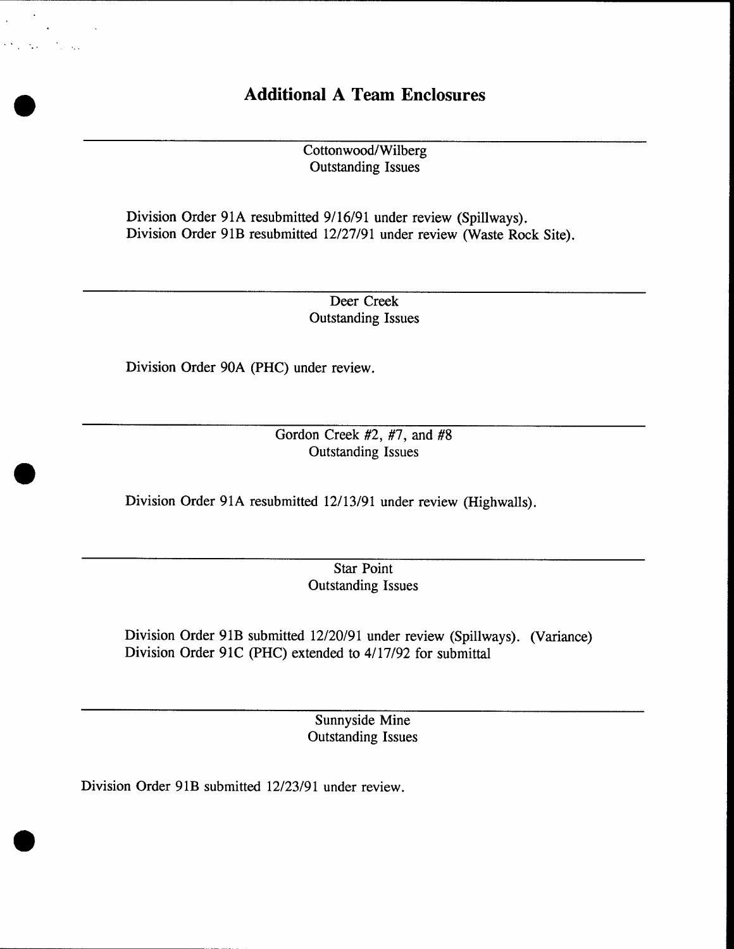## Additional A Team Enclosures

Cottonwood/Wilberg Outstanding Issues

Division Order 91A resubmitted 9/16/91 under review (Spillways). Division Order 91B resubmitted 12/27/91 under review (Waste Rock Site).

> Deer Creek Outstanding Issues

Division Order 90A (PHC) under review.

 $\mathcal{O}(\mathcal{E}_\mathrm{c}^{\mathrm{c}})$ 

tico de

Gordon Creek  $#2, #7,$  and  $#8$ Outstanding Issues

Division Order 91A resubmitted 12/13/91 under review (Highwalls).

Star Point Outstanding Issues

Division Order 91B submitted 12/20/91 under review (Spillways). (Variance) Division Order 91C (PHC) extended to 4/17/92 for submittal

> Sunnyside Mine Outstanding Issues

Division Order 91B submitted 12/23/91 under review.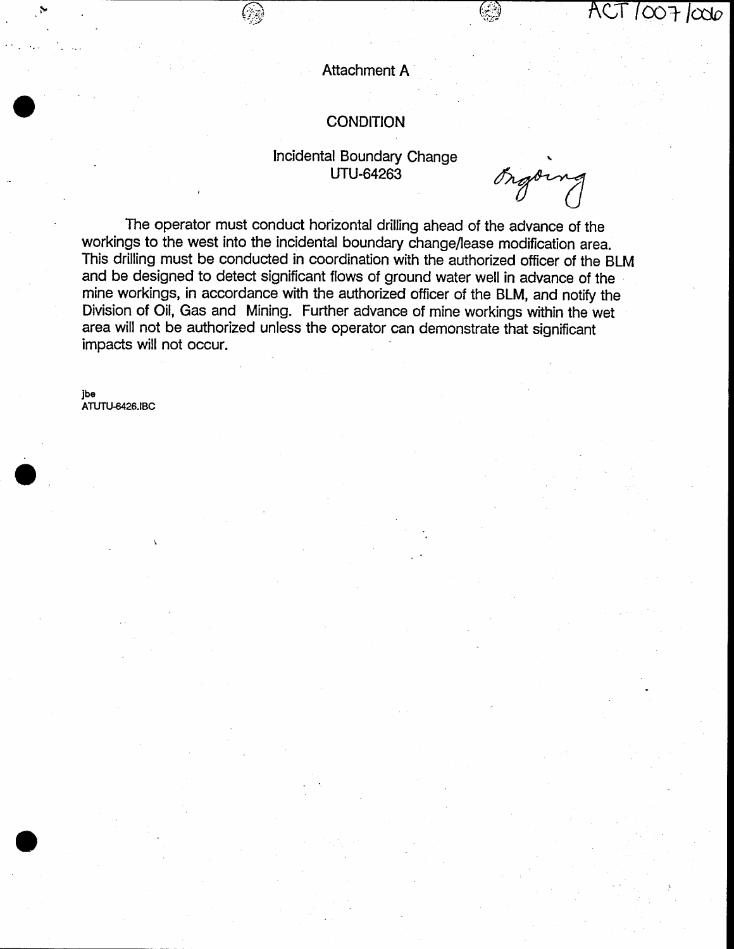## **Attachment A**

## **CONDITION**

## Incidental Boundary Change **UTU-64263**

Orgoing

 $\overline{ACT}/\overline{CO}$   $7/\overline{CO}$ 

The operator must conduct horizontal drilling ahead of the advance of the workings to the west into the incidental boundary change/lease modification area. This drilling must be conducted in coordination with the authorized officer of the BLM and be designed to detect significant flows of ground water well in advance of the mine workings, in accordance with the authorized officer of the BLM, and notify the Division of Oil, Gas and Mining. Further advance of mine workings within the wet area will not be authorized unless the operator can demonstrate that significant impacts will not occur.

jbe ATUTU-6426.IBC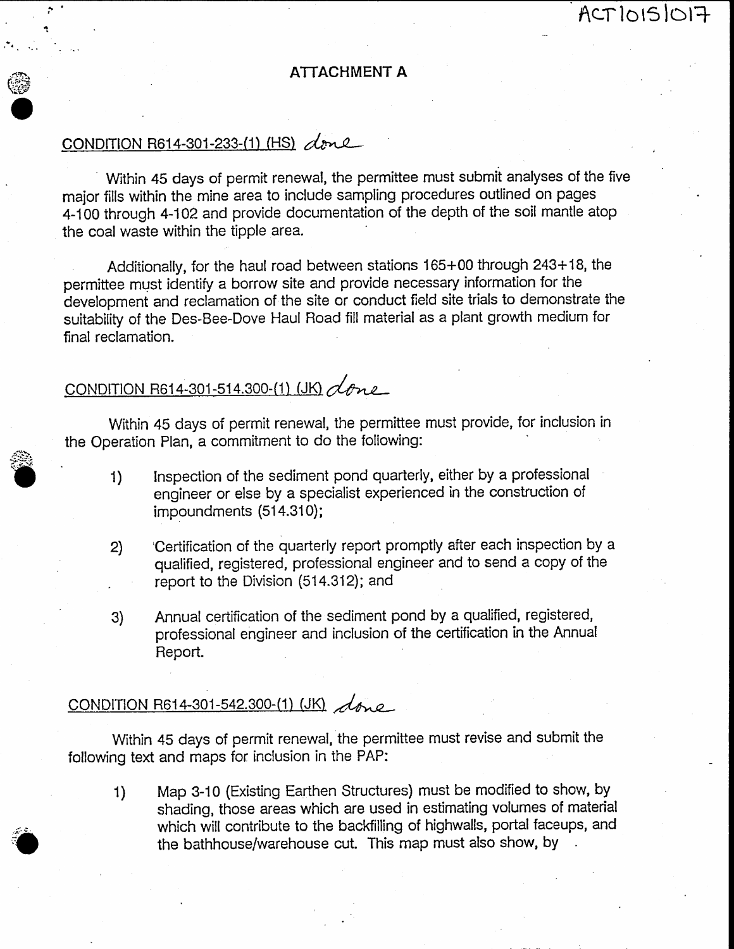## ATTACHMENT A

ACTIOISIOI7

## CONDITION R614-301-233-(1) (HS) done

**e** 

Within 45 days of permit renewal, the permittee must submit analyses of the five major fills within the mine area to include sampling procedures outlined on pages 4-100 through 4-102 and provide documentation of the depth of the soil mantle atop the coal waste within the tipple area.

Additionally, for the haul road between stations 165+00 through 243+18, the permittee must identify a borrow site and provide necessary information for the development and reclamation of the site or conduct field site trials to demonstrate the suitability of the Des-Bee-Dove Haul Road fill material as a plant grovrth medium for final reclamation.

## CONDITION R614-301-514.300-(1) (JK)  $\measuredangle$ one

Within 45 days of permit renewal, the permittee must provide, for inclusion in the Operation Plan, a commitment to do the following:

- 1) Inspection of the sediment pond quarterly, either by a professional engineer or else by a specialist experienced in the construction of impoundments (514.310);
- Z) 'Certification of the quarterly report promptly after each inspection by <sup>a</sup> qualified, registered, professional engineer and to send a copy of the report to the Division (514.312); and
- 3) Annual cefrification of the sediment pond by a qualified, registered, professional engineer and inclusion of the certification in the Annual Report.

## CONDITION R614-301-542.300-(1) (JK)  $\sqrt{d_{inc}}$

Within 45 days of permit renewal, the permittee must revise and submit the following text and maps for inclusion in the PAP:

1) Map 3-10 (Existing Earthen Structures) must be rnodified to show, by shading, those areas which are used in estimating volumes of material which will contribute to the backfilling of highwalls, portal faceups, and the bathhouse/warehouse cut. This map must also show, by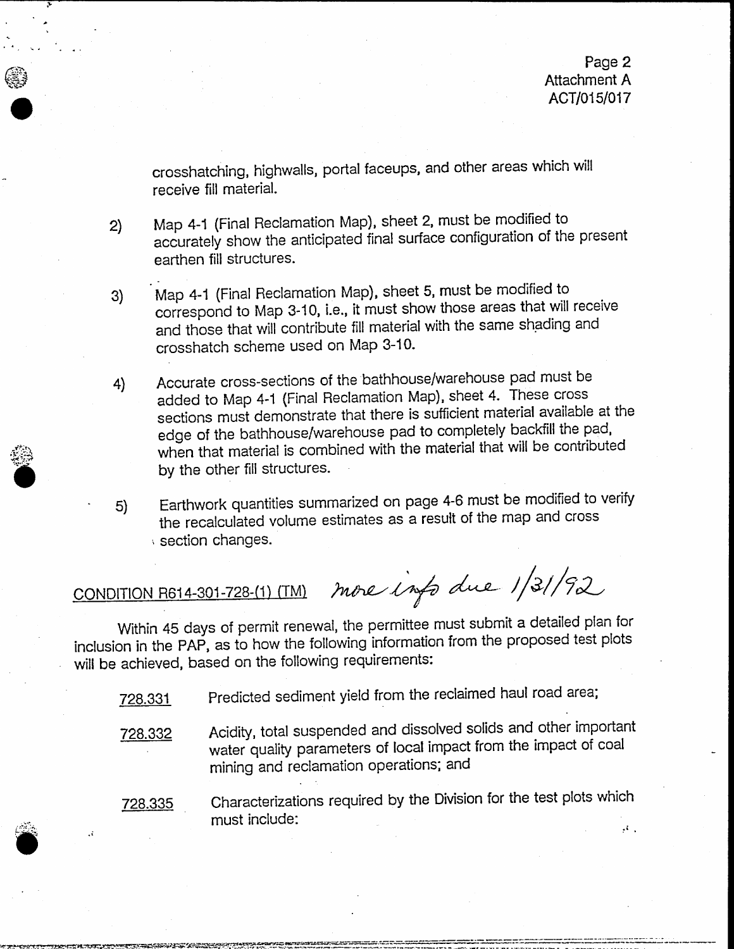crosshatching, highwalls, portal faceups, and other areas which will receive fill material.

Map 4-1 (Final Reclamation Map), sheet 2, must be modified to accurately show the anticipated final surface configuration of the present earthen fill structures.  $2)$ 

- Map 4-1 (Final Heclamation Map), sheet 5, must be modified to 3) correspond to Map 3-10, i.e., it must show those areas that will receive and those that will contribute fill material with the same shading and crosshatch scheme used on Map 3-10'
- Accurate cross-sections of the bathhouse/warehouse pad must be added to Map 4-1 (Final Reclamation Map), sheet 4. These cross sections must demonstrate that there is sufficient material available at the edge of the bathhouse/warehouse pad to completely backfill the pad, when that material is combined with the material that will be contributed by the other fill structures. 4)
- Earthwork quantities summarized on page 4-6 must be modified to verify 5) the recalculated volume estimates as a result of the map and cross ' section changes.

 $\bullet$ 

 $\bullet$ 

 $\cdot$ 

-

CONDITION R614-301-728-(1) (TM) more info due 1/31/92

Within 45 days of permit renewal, the permittee must submit a detailed plan for inclusion in the PAP, as to how the following information from the proposed test plots will be achieved, based on the following requirements:

728.331 Predicted sediment yield from the reclaimed haul road area;

- 728.332 Acidity, total suspended and dissolved sollds and other important water quality parameters of local impact from the impact of coal mining and reclamation operations: and
- 728.335 Characterizations required by the Division for the test plots which must include: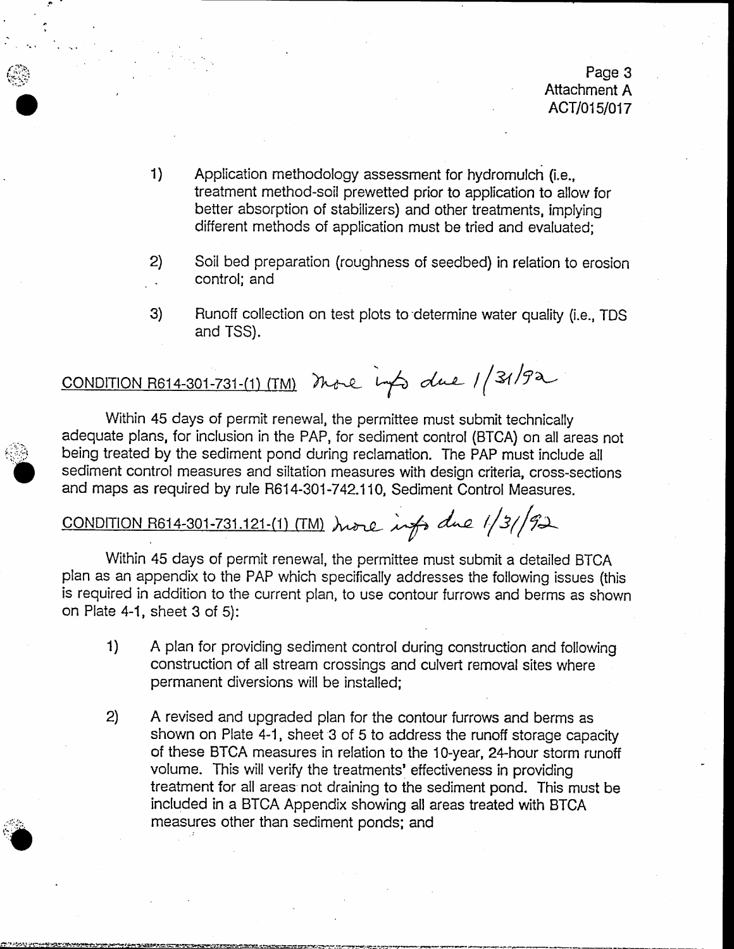- Application methodology assessment for hydromulch {i.e., treatment method-soil prewetted prior to application to allow for better absorption of stabilizers) and other treatments, implying different methods of application must be tried and evaluated; 1)
- 2) Soil bed preparation (roughness of seedbed) in relation to erosion . control; and
- 3) Runoff collection on test plots to'determine water quality (i.e., TDS and TSS),

# CONDITION R614-301-731-(1) (TM) More info due 1/31/92

Within 45 days of permit renewal, the permittee must submit technically adequate plans, for inclusion in the PAP, for sediment control (BTCA) on all areas not being treated by the sediment pond during reclamation. The PAP must include all sediment control measures and siltation measures with design criteria, cross-sections and maps as required by rule R614-301-742.110, Sediment Control Measures.

## CONDITION R614-301-731.121-(1) (TM) hore info due 1/3/92

Within 45 days of permit renewal, the permittee must submit a detailed BTCA plan as an appendix to the PAP which specifically addresses the following issues (this is required in addition to the current plan, to use contour furrows and berms as shown on Plate 4-1, sheet 3 of 5):

- A plan for providing sediment control during construction and following construction of all stream crossings and culvert rernoval sites where permanent diversions will be installed 1)
- $2)$ A revised and upgraded plan for the contour furrows and berms as shown on Plate 4-1, sheet 3 of 5 to address the runoff storage capacity of these BTCA measures in relation to the 10-year, Z4-hour storm runotf volume. This will verify the treatrnents' effectiveness in providing treatment for all areas not draining to the sediment pond. This must be included in a BTCA Appendix showing all areas treated with BTCA measures other than sediment ponds; and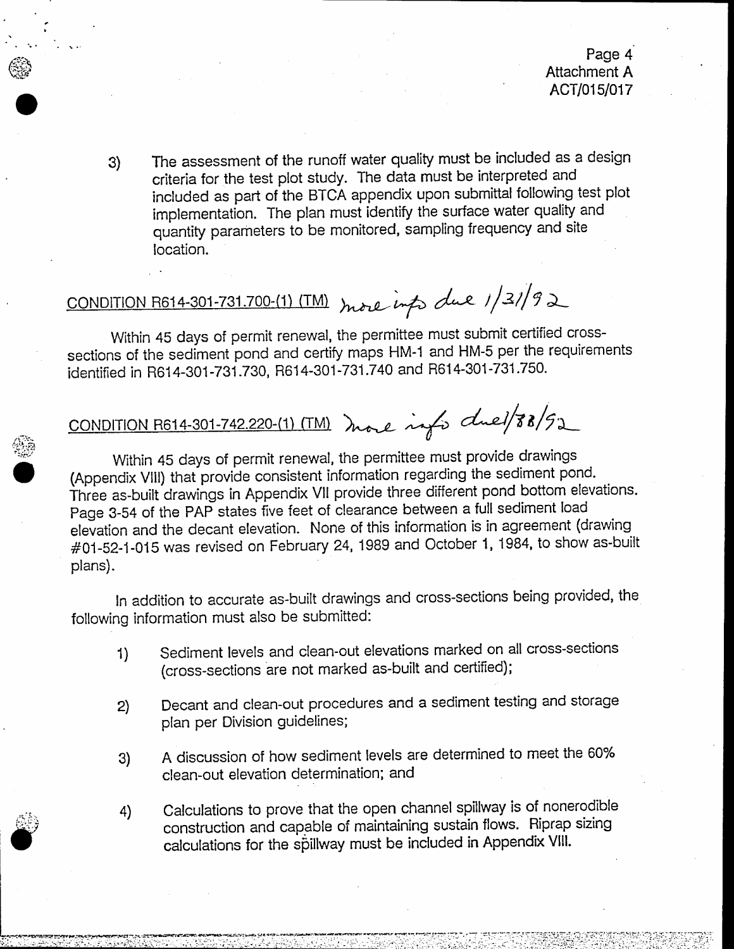g) The assessment of the runoff water quality must be included as a design criteria for the test plot study. The data must be interpreted and included as part of the BTCA appendix upon submittal following test plot implementation. The plan must identify the surface water quality and quantity parameters to be monitored, sampling frequency and site location.

# CONDITION R614-301-731.700-(1) (TM) more info due 1/31/92

ffil'

I

 $\bullet$ 

Within 45 days of permit renewal, the permittee must submit certified crosssections of the sediment pond and certify maps HM-1 and HM-5 per the requirements identified in R614-301-731 .730, R614-301-731 .740 and R614-301-731 .750.

cONDITION R614-301-742.220-(1) (TM) more info clue/88/92

Within 45 days of permit renewal, the permittee must provide drawings (Appendix VIll) that provide consistent information regarding the sediment pond-Three as-built drawings in Appendix VII provide three different pond bottom elevations. Page 3-54 of the PAP states five feet of clearance between a full sediment load elevation and the decant elevation. None of this information is in agreement (drawing #01-52-1-015 was revised on February 24, 1989 and October 1, 1984, to show as-built plans)

ln addition to accurate as-built drawings and cross-sections being provided, the following information must also be submitted:

- Sediment levels and clean-out elevations marked on all cross-sections (cross-sections are not marked as-built and certified); 1)
- Decant and clean-out procedures and a sediment testing and storage plan per Division guidelines; 2)
- A discussion of how sediment levels are determined to meet the 60% clean-out elevation determination; and 3)
- Calculations to prove that the open channel spillway is of nonerodibte construction and capable of maintaining sustain flows. Riprap sizing calculations for the spillway must be included in Appendix VIII. 4)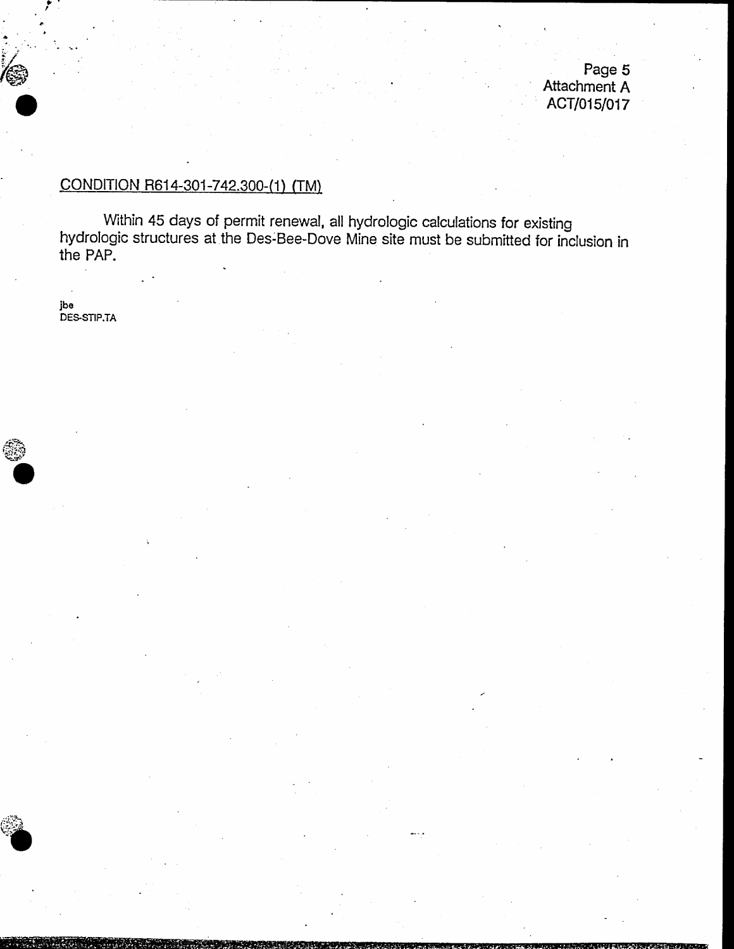Page 5 Attachment A ACT/015/017

## CONDITION R614-301-742.300-(1) (TM)

Within 45 days of permit renewal, all hydrologic calculations for existing<br>hydrologic structures at the Des-Bee-Dove Mine site must be submitted for inclusion in the PAP.

jbe<br>DES-STIP.TA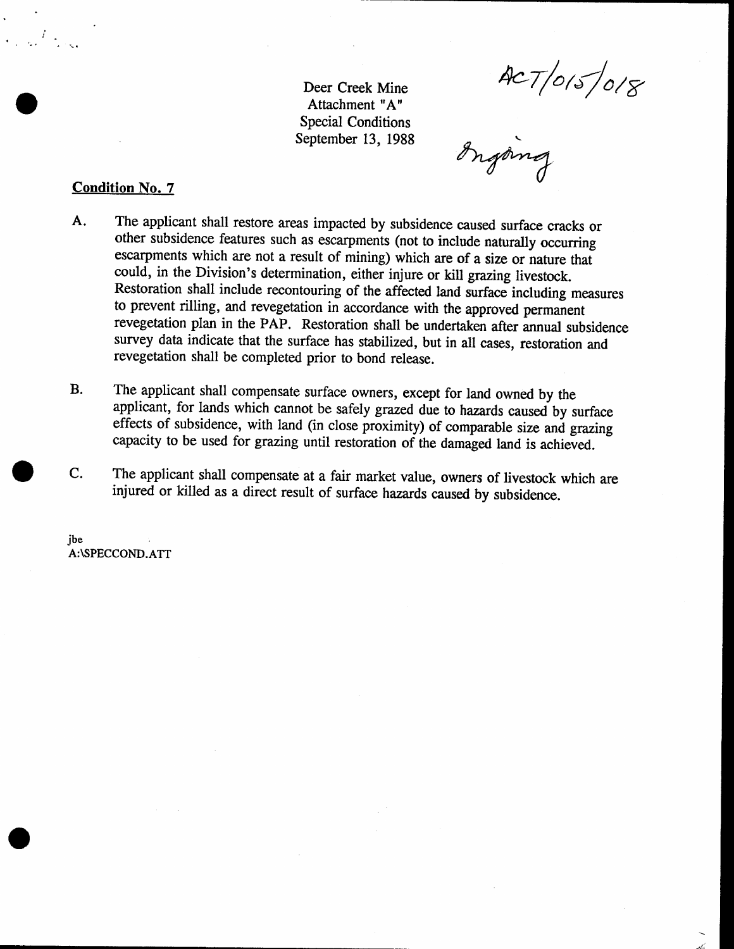ACT/015/018

Deer Creek Mine Attachment "A" Special Conditions September 13, 1988

### Condition No. 7

- A. The applicant shall restore areas impacted by subsidence caused surface cracks or other subsidence features such as escatpments (not to include naturally occurring escarpments which are not a result of mining) which are of a size or nature that could, in the Division's determination, either injure or kill grazing livestock. Restoration shall include recontouring of the affected land surface including measures to prevent rilling, and revegetation in accordance with the approved permanent revegetation plan in the PAP. Restoration shall be undertaken after annual subsidence survey data indicate that the surface has stabilized, but in all cases, restoration and revegetation shall be completed prior to bond release.
- The applicant shall compensate surface owners, except for land owned by the applicant, for lands which cannot be safely grazed due to hazards caused by surface effects of subsidence, with land (in close proximity) of comparable size and grazing capacity to be used for grazing until restoration of the damaged land is achieved. B.
- The applicant shall compensate at a fair market value, owners of livestock which are injured or killed as a direct result of surface hazards caused by subsidence. C.

jbe A:\SPECCOND.ATT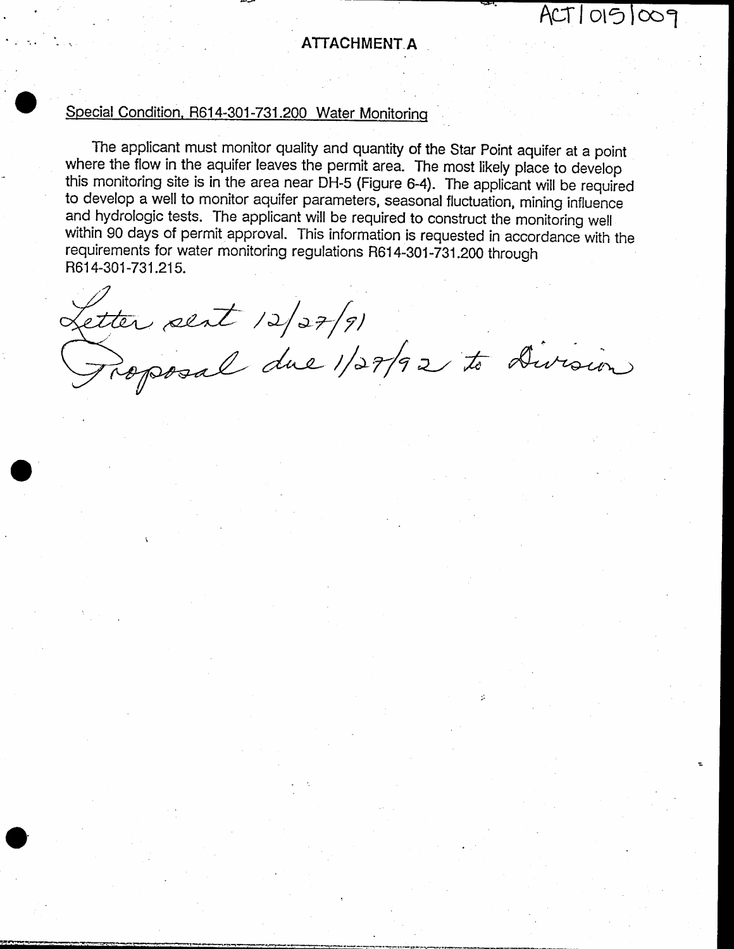## ATTACHMENT A

 $ACT10151009$ 

## Special Condition, R614-301-731.200 Water Monitoring

The applicant must monitor quality and quantity of the Star Point aquifer at a point where the flow in the aquifer leaves the permit area. The most likely place to develop this monitoring site is in the area near DH-5 (Figure 6-4). The applicant will be required to develop a well to monitor aquifer parameters, seasonal fluctuation, mining influence and hydrologic tests. The applicant will be required to construct the monitoring well within 90 days of permit approval. This information is requested in accordance with the requirements for water monitoring regulations R614-301-731.200 through R614-301-731.215.

Letter sent 12/27/91<br>Proposal due 1/27/92 to Division